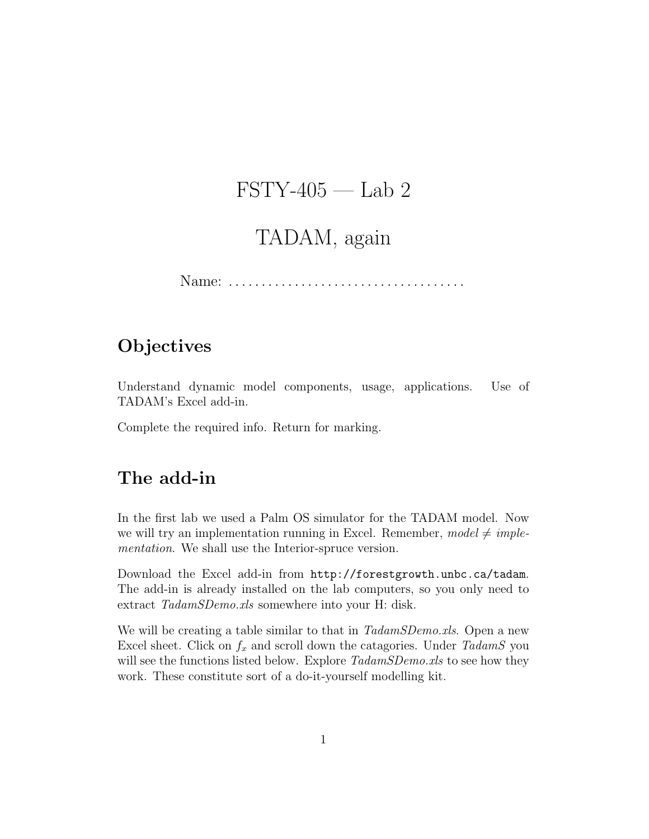# $\text{FSTY-405}$  — Lab 2

# TADAM, again

Name: . . . . . . . . . . . . . . . . . . . . . . . . . . . . . . . . . . . .

### **Objectives**

Understand dynamic model components, usage, applications. Use of TADAM's Excel add-in.

Complete the required info. Return for marking.

## The add-in

In the first lab we used a Palm OS simulator for the TADAM model. Now we will try an implementation running in Excel. Remember,  $model \neq imple$ mentation. We shall use the Interior-spruce version.

Download the Excel add-in from http://forestgrowth.unbc.ca/tadam. The add-in is already installed on the lab computers, so you only need to extract TadamSDemo.xls somewhere into your H: disk.

We will be creating a table similar to that in TadamSDemo.xls. Open a new Excel sheet. Click on  $f_x$  and scroll down the catagories. Under TadamS you will see the functions listed below. Explore  $TadamSDemo.xls$  to see how they work. These constitute sort of a do-it-yourself modelling kit.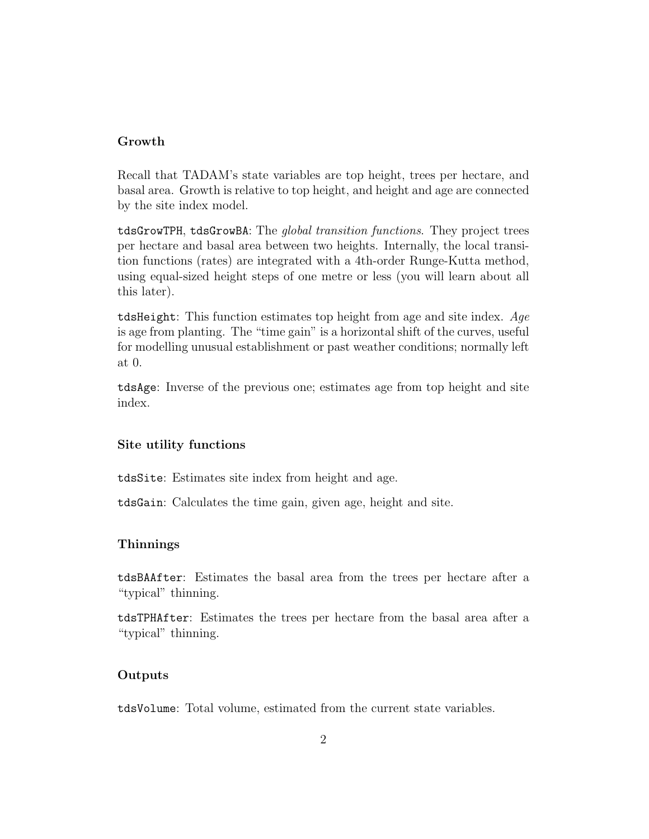#### Growth

Recall that TADAM's state variables are top height, trees per hectare, and basal area. Growth is relative to top height, and height and age are connected by the site index model.

tdsGrowTPH, tdsGrowBA: The global transition functions. They project trees per hectare and basal area between two heights. Internally, the local transition functions (rates) are integrated with a 4th-order Runge-Kutta method, using equal-sized height steps of one metre or less (you will learn about all this later).

tdsHeight: This function estimates top height from age and site index. Age is age from planting. The "time gain" is a horizontal shift of the curves, useful for modelling unusual establishment or past weather conditions; normally left at 0.

tdsAge: Inverse of the previous one; estimates age from top height and site index.

#### Site utility functions

tdsSite: Estimates site index from height and age.

tdsGain: Calculates the time gain, given age, height and site.

#### **Thinnings**

tdsBAAfter: Estimates the basal area from the trees per hectare after a "typical" thinning.

tdsTPHAfter: Estimates the trees per hectare from the basal area after a "typical" thinning.

### Outputs

tdsVolume: Total volume, estimated from the current state variables.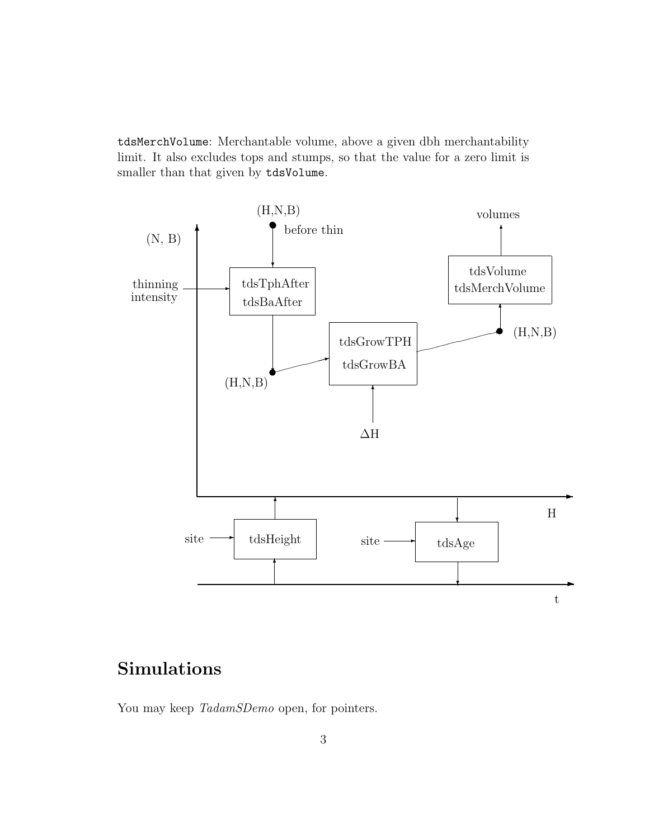tdsMerchVolume: Merchantable volume, above a given dbh merchantability limit. It also excludes tops and stumps, so that the value for a zero limit is smaller than that given by tdsVolume.



## Simulations

You may keep TadamSDemo open, for pointers.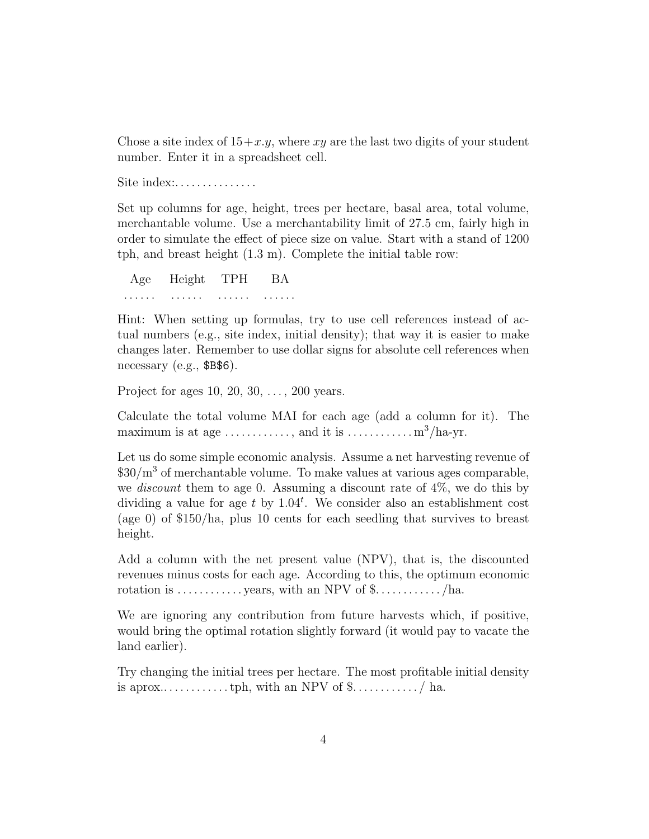Chose a site index of  $15+x,y$ , where xy are the last two digits of your student number. Enter it in a spreadsheet cell.

Site index:..............

Set up columns for age, height, trees per hectare, basal area, total volume, merchantable volume. Use a merchantability limit of 27.5 cm, fairly high in order to simulate the effect of piece size on value. Start with a stand of 1200 tph, and breast height (1.3 m). Complete the initial table row:

Age Height TPH BA . . . . . . . . . . . . . . . . . . . . . . . .

Hint: When setting up formulas, try to use cell references instead of actual numbers (e.g., site index, initial density); that way it is easier to make changes later. Remember to use dollar signs for absolute cell references when necessary (e.g., \$B\$6).

Project for ages 10, 20, 30, . . . , 200 years.

Calculate the total volume MAI for each age (add a column for it). The maximum is at age  $\dots \dots \dots$ , and it is  $\dots \dots \dots \dots \dots \dots$  m<sup>3</sup>/ha-yr.

Let us do some simple economic analysis. Assume a net harvesting revenue of  $$30/m<sup>3</sup>$  of merchantable volume. To make values at various ages comparable, we *discount* them to age 0. Assuming a discount rate of  $4\%$ , we do this by dividing a value for age t by  $1.04^t$ . We consider also an establishment cost (age 0) of \$150/ha, plus 10 cents for each seedling that survives to breast height.

Add a column with the net present value (NPV), that is, the discounted revenues minus costs for each age. According to this, the optimum economic rotation is  $\dots \dots \dots$  years, with an NPV of  $\text{\$} \dots \dots \dots$  /ha.

We are ignoring any contribution from future harvests which, if positive, would bring the optimal rotation slightly forward (it would pay to vacate the land earlier).

Try changing the initial trees per hectare. The most profitable initial density is aprox.. . . . . . . . . . . . tph, with an NPV of \$. . . . . . . . . . . . / ha.